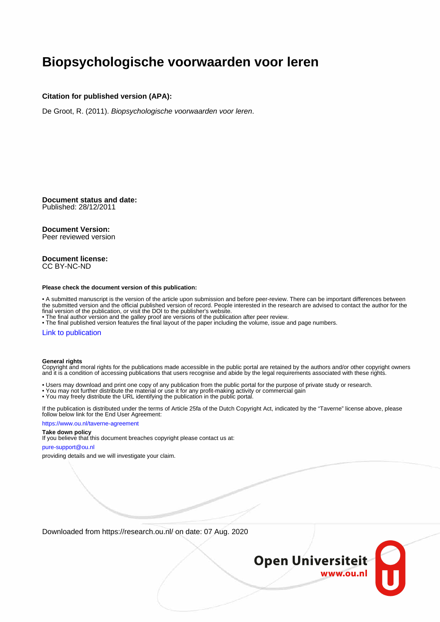### **Biopsychologische voorwaarden voor leren**

#### **Citation for published version (APA):**

De Groot, R. (2011). Biopsychologische voorwaarden voor leren.

**Document status and date:** Published: 28/12/2011

#### **Document Version:**

Peer reviewed version

#### **Document license:** CC BY-NC-ND

#### **Please check the document version of this publication:**

• A submitted manuscript is the version of the article upon submission and before peer-review. There can be important differences between the submitted version and the official published version of record. People interested in the research are advised to contact the author for the final version of the publication, or visit the DOI to the publisher's website.

• The final author version and the galley proof are versions of the publication after peer review.

• The final published version features the final layout of the paper including the volume, issue and page numbers.

#### [Link to publication](https://research.ou.nl/en/publications/2314b321-f997-4161-b20a-74da69f07943)

#### **General rights**

Copyright and moral rights for the publications made accessible in the public portal are retained by the authors and/or other copyright owners and it is a condition of accessing publications that users recognise and abide by the legal requirements associated with these rights.

- Users may download and print one copy of any publication from the public portal for the purpose of private study or research.
- You may not further distribute the material or use it for any profit-making activity or commercial gain
- You may freely distribute the URL identifying the publication in the public portal.

If the publication is distributed under the terms of Article 25fa of the Dutch Copyright Act, indicated by the "Taverne" license above, please follow below link for the End User Agreement:

#### https://www.ou.nl/taverne-agreement

#### **Take down policy**

If you believe that this document breaches copyright please contact us at:

#### pure-support@ou.nl

providing details and we will investigate your claim.

Downloaded from https://research.ou.nl/ on date: 07 Aug. 2020

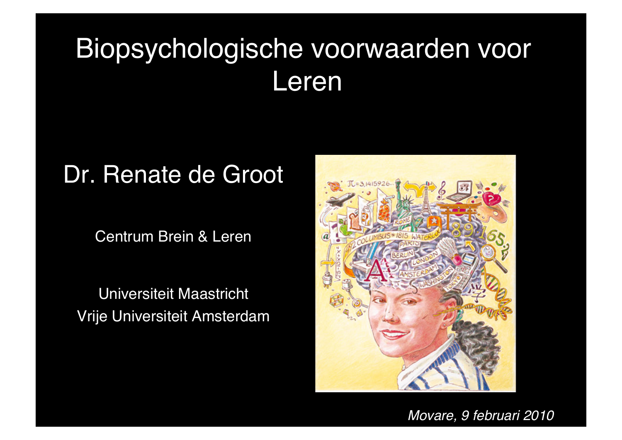# Biopsychologische voorwaarden voor Leren

## Dr. Renate de Groot

Centrum Brein & Leren

Universiteit Maastricht Vrije Universiteit Amsterdam



*Movare, 9 februari 2010*